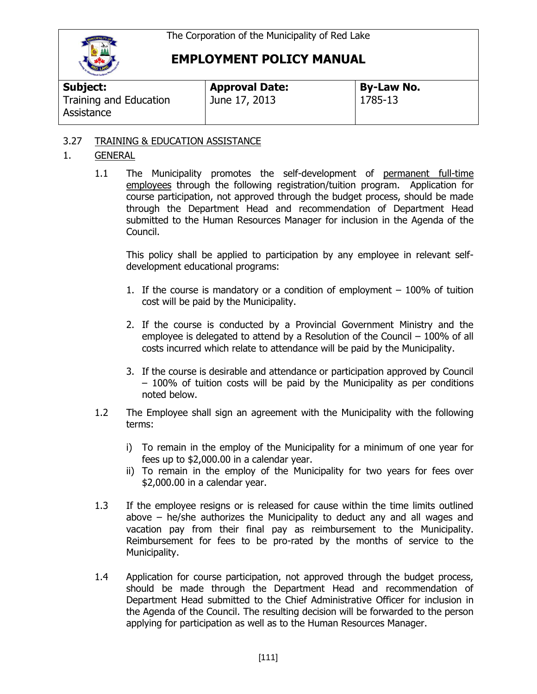

## **EMPLOYMENT POLICY MANUAL**

| Subject:                             | <b>Approval Date:</b> | <b>By-Law No.</b> |  |
|--------------------------------------|-----------------------|-------------------|--|
| Training and Education<br>Assistance | June 17, 2013         | 1785-13           |  |

## 3.27 TRAINING & EDUCATION ASSISTANCE

## 1. GENERAL

1.1 The Municipality promotes the self-development of permanent full-time employees through the following registration/tuition program. Application for course participation, not approved through the budget process, should be made through the Department Head and recommendation of Department Head submitted to the Human Resources Manager for inclusion in the Agenda of the Council.

This policy shall be applied to participation by any employee in relevant selfdevelopment educational programs:

- 1. If the course is mandatory or a condition of employment 100% of tuition cost will be paid by the Municipality.
- 2. If the course is conducted by a Provincial Government Ministry and the employee is delegated to attend by a Resolution of the Council – 100% of all costs incurred which relate to attendance will be paid by the Municipality.
- 3. If the course is desirable and attendance or participation approved by Council – 100% of tuition costs will be paid by the Municipality as per conditions noted below.
- 1.2 The Employee shall sign an agreement with the Municipality with the following terms:
	- i) To remain in the employ of the Municipality for a minimum of one year for fees up to \$2,000.00 in a calendar year.
	- ii) To remain in the employ of the Municipality for two years for fees over \$2,000.00 in a calendar year.
- 1.3 If the employee resigns or is released for cause within the time limits outlined above – he/she authorizes the Municipality to deduct any and all wages and vacation pay from their final pay as reimbursement to the Municipality. Reimbursement for fees to be pro-rated by the months of service to the Municipality.
- 1.4 Application for course participation, not approved through the budget process, should be made through the Department Head and recommendation of Department Head submitted to the Chief Administrative Officer for inclusion in the Agenda of the Council. The resulting decision will be forwarded to the person applying for participation as well as to the Human Resources Manager.